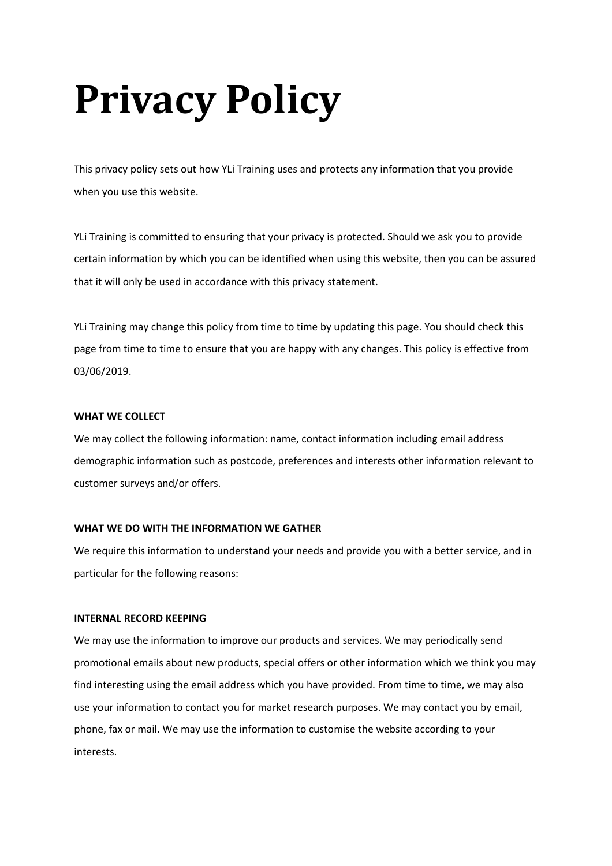# **Privacy Policy**

This privacy policy sets out how YLi Training uses and protects any information that you provide when you use this website.

YLi Training is committed to ensuring that your privacy is protected. Should we ask you to provide certain information by which you can be identified when using this website, then you can be assured that it will only be used in accordance with this privacy statement.

YLi Training may change this policy from time to time by updating this page. You should check this page from time to time to ensure that you are happy with any changes. This policy is effective from 03/06/2019.

# **WHAT WE COLLECT**

We may collect the following information: name, contact information including email address demographic information such as postcode, preferences and interests other information relevant to customer surveys and/or offers.

# **WHAT WE DO WITH THE INFORMATION WE GATHER**

We require this information to understand your needs and provide you with a better service, and in particular for the following reasons:

## **INTERNAL RECORD KEEPING**

We may use the information to improve our products and services. We may periodically send promotional emails about new products, special offers or other information which we think you may find interesting using the email address which you have provided. From time to time, we may also use your information to contact you for market research purposes. We may contact you by email, phone, fax or mail. We may use the information to customise the website according to your interests.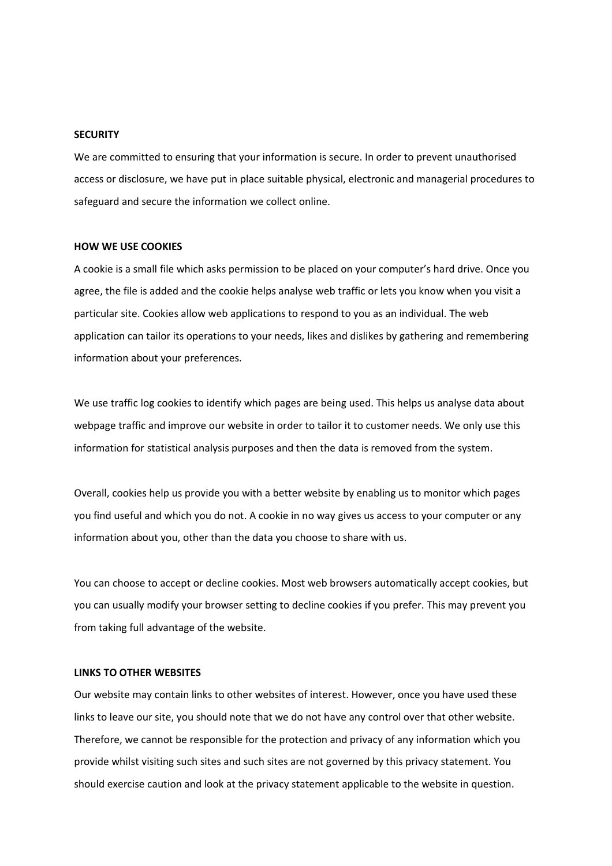#### **SECURITY**

We are committed to ensuring that your information is secure. In order to prevent unauthorised access or disclosure, we have put in place suitable physical, electronic and managerial procedures to safeguard and secure the information we collect online.

# **HOW WE USE COOKIES**

A cookie is a small file which asks permission to be placed on your computer's hard drive. Once you agree, the file is added and the cookie helps analyse web traffic or lets you know when you visit a particular site. Cookies allow web applications to respond to you as an individual. The web application can tailor its operations to your needs, likes and dislikes by gathering and remembering information about your preferences.

We use traffic log cookies to identify which pages are being used. This helps us analyse data about webpage traffic and improve our website in order to tailor it to customer needs. We only use this information for statistical analysis purposes and then the data is removed from the system.

Overall, cookies help us provide you with a better website by enabling us to monitor which pages you find useful and which you do not. A cookie in no way gives us access to your computer or any information about you, other than the data you choose to share with us.

You can choose to accept or decline cookies. Most web browsers automatically accept cookies, but you can usually modify your browser setting to decline cookies if you prefer. This may prevent you from taking full advantage of the website.

### **LINKS TO OTHER WEBSITES**

Our website may contain links to other websites of interest. However, once you have used these links to leave our site, you should note that we do not have any control over that other website. Therefore, we cannot be responsible for the protection and privacy of any information which you provide whilst visiting such sites and such sites are not governed by this privacy statement. You should exercise caution and look at the privacy statement applicable to the website in question.